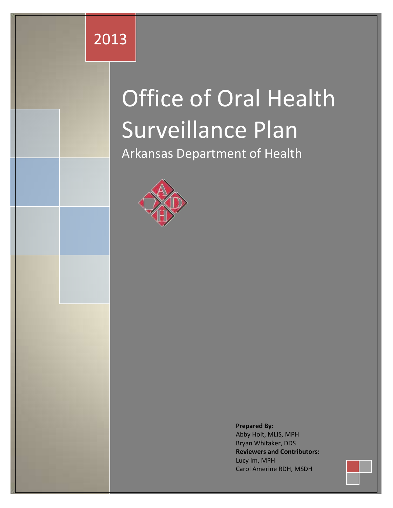# 2013

# Office of Oral Health Surveillance Plan

Arkansas Department of Health



**Prepared By:** Abby Holt, MLIS, MPH Bryan Whitaker, DDS **Reviewers and Contributors:** Lucy Im, MPH Carol Amerine RDH, MSDH

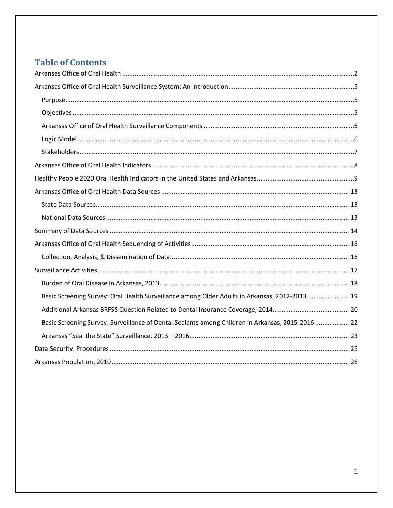# **Table of Contents**

| Basic Screening Survey: Oral Health Surveillance among Older Adults in Arkansas, 2012-2013 19     |  |
|---------------------------------------------------------------------------------------------------|--|
|                                                                                                   |  |
| Basic Screening Survey: Surveillance of Dental Sealants among Children in Arkansas, 2015-2016  22 |  |
|                                                                                                   |  |
|                                                                                                   |  |
|                                                                                                   |  |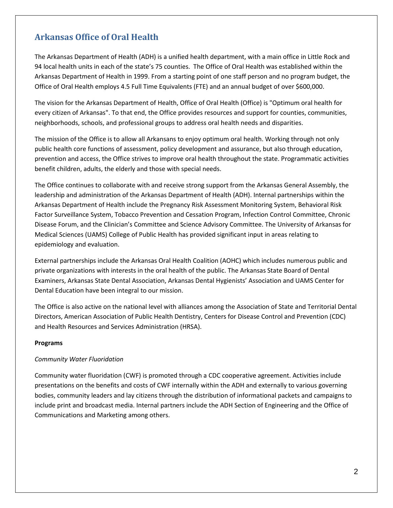# <span id="page-2-0"></span>**Arkansas Office of Oral Health**

The Arkansas Department of Health (ADH) is a unified health department, with a main office in Little Rock and 94 local health units in each of the state's 75 counties. The Office of Oral Health was established within the Arkansas Department of Health in 1999. From a starting point of one staff person and no program budget, the Office of Oral Health employs 4.5 Full Time Equivalents (FTE) and an annual budget of over \$600,000.

The vision for the Arkansas Department of Health, Office of Oral Health (Office) is "Optimum oral health for every citizen of Arkansas". To that end, the Office provides resources and support for counties, communities, neighborhoods, schools, and professional groups to address oral health needs and disparities.

The mission of the Office is to allow all Arkansans to enjoy optimum oral health. Working through not only public health core functions of assessment, policy development and assurance, but also through education, prevention and access, the Office strives to improve oral health throughout the state. Programmatic activities benefit children, adults, the elderly and those with special needs.

The Office continues to collaborate with and receive strong support from the Arkansas General Assembly, the leadership and administration of the Arkansas Department of Health (ADH). Internal partnerships within the Arkansas Department of Health include the Pregnancy Risk Assessment Monitoring System, Behavioral Risk Factor Surveillance System, Tobacco Prevention and Cessation Program, Infection Control Committee, Chronic Disease Forum, and the Clinician's Committee and Science Advisory Committee. The University of Arkansas for Medical Sciences (UAMS) College of Public Health has provided significant input in areas relating to epidemiology and evaluation.

External partnerships include the Arkansas Oral Health Coalition (AOHC) which includes numerous public and private organizations with interests in the oral health of the public. The Arkansas State Board of Dental Examiners, Arkansas State Dental Association, Arkansas Dental Hygienists' Association and UAMS Center for Dental Education have been integral to our mission.

The Office is also active on the national level with alliances among the Association of State and Territorial Dental Directors, American Association of Public Health Dentistry, Centers for Disease Control and Prevention (CDC) and Health Resources and Services Administration (HRSA).

#### **Programs**

#### *Community Water Fluoridation*

Community water fluoridation (CWF) is promoted through a CDC cooperative agreement. Activities include presentations on the benefits and costs of CWF internally within the ADH and externally to various governing bodies, community leaders and lay citizens through the distribution of informational packets and campaigns to include print and broadcast media. Internal partners include the ADH Section of Engineering and the Office of Communications and Marketing among others.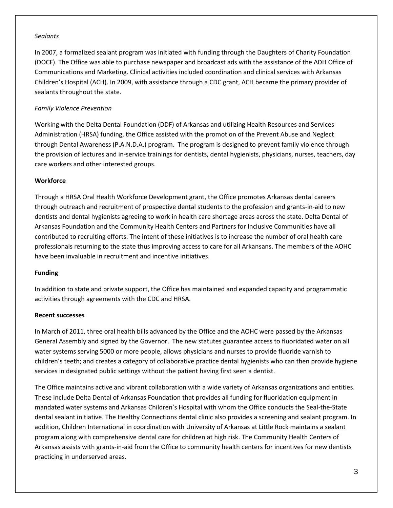#### *Sealants*

In 2007, a formalized sealant program was initiated with funding through the Daughters of Charity Foundation (DOCF). The Office was able to purchase newspaper and broadcast ads with the assistance of the ADH Office of Communications and Marketing. Clinical activities included coordination and clinical services with Arkansas Children's Hospital (ACH). In 2009, with assistance through a CDC grant, ACH became the primary provider of sealants throughout the state.

#### *Family Violence Prevention*

Working with the Delta Dental Foundation (DDF) of Arkansas and utilizing Health Resources and Services Administration (HRSA) funding, the Office assisted with the promotion of the Prevent Abuse and Neglect through Dental Awareness (P.A.N.D.A.) program. The program is designed to prevent family violence through the provision of lectures and in-service trainings for dentists, dental hygienists, physicians, nurses, teachers, day care workers and other interested groups.

#### **Workforce**

Through a HRSA Oral Health Workforce Development grant, the Office promotes Arkansas dental careers through outreach and recruitment of prospective dental students to the profession and grants-in-aid to new dentists and dental hygienists agreeing to work in health care shortage areas across the state. Delta Dental of Arkansas Foundation and the Community Health Centers and Partners for Inclusive Communities have all contributed to recruiting efforts. The intent of these initiatives is to increase the number of oral health care professionals returning to the state thus improving access to care for all Arkansans. The members of the AOHC have been invaluable in recruitment and incentive initiatives.

#### **Funding**

In addition to state and private support, the Office has maintained and expanded capacity and programmatic activities through agreements with the CDC and HRSA.

#### **Recent successes**

In March of 2011, three oral health bills advanced by the Office and the AOHC were passed by the Arkansas General Assembly and signed by the Governor. The new statutes guarantee access to fluoridated water on all water systems serving 5000 or more people, allows physicians and nurses to provide fluoride varnish to children's teeth; and creates a category of collaborative practice dental hygienists who can then provide hygiene services in designated public settings without the patient having first seen a dentist.

The Office maintains active and vibrant collaboration with a wide variety of Arkansas organizations and entities. These include Delta Dental of Arkansas Foundation that provides all funding for fluoridation equipment in mandated water systems and Arkansas Children's Hospital with whom the Office conducts the Seal-the-State dental sealant initiative. The Healthy Connections dental clinic also provides a screening and sealant program. In addition, Children International in coordination with University of Arkansas at Little Rock maintains a sealant program along with comprehensive dental care for children at high risk. The Community Health Centers of Arkansas assists with grants-in-aid from the Office to community health centers for incentives for new dentists practicing in underserved areas.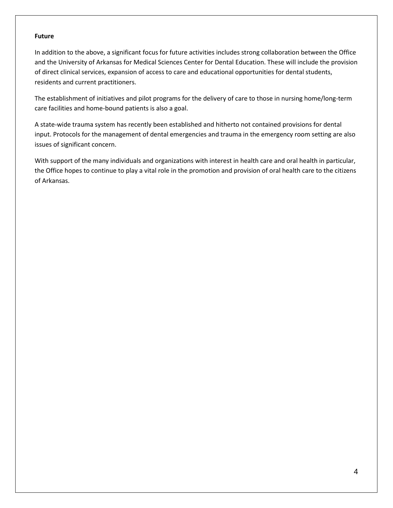#### **Future**

In addition to the above, a significant focus for future activities includes strong collaboration between the Office and the University of Arkansas for Medical Sciences Center for Dental Education. These will include the provision of direct clinical services, expansion of access to care and educational opportunities for dental students, residents and current practitioners.

The establishment of initiatives and pilot programs for the delivery of care to those in nursing home/long-term care facilities and home-bound patients is also a goal.

A state-wide trauma system has recently been established and hitherto not contained provisions for dental input. Protocols for the management of dental emergencies and trauma in the emergency room setting are also issues of significant concern.

With support of the many individuals and organizations with interest in health care and oral health in particular, the Office hopes to continue to play a vital role in the promotion and provision of oral health care to the citizens of Arkansas.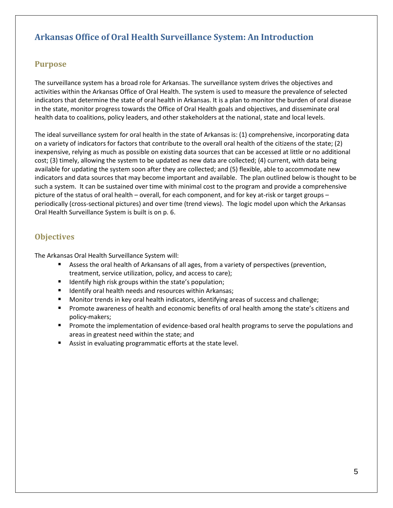# <span id="page-5-0"></span>**Arkansas Office of Oral Health Surveillance System: An Introduction**

#### <span id="page-5-1"></span>**Purpose**

The surveillance system has a broad role for Arkansas. The surveillance system drives the objectives and activities within the Arkansas Office of Oral Health. The system is used to measure the prevalence of selected indicators that determine the state of oral health in Arkansas. It is a plan to monitor the burden of oral disease in the state, monitor progress towards the Office of Oral Health goals and objectives, and disseminate oral health data to coalitions, policy leaders, and other stakeholders at the national, state and local levels.

The ideal surveillance system for oral health in the state of Arkansas is: (1) comprehensive, incorporating data on a variety of indicators for factors that contribute to the overall oral health of the citizens of the state; (2) inexpensive, relying as much as possible on existing data sources that can be accessed at little or no additional cost; (3) timely, allowing the system to be updated as new data are collected; (4) current, with data being available for updating the system soon after they are collected; and (5) flexible, able to accommodate new indicators and data sources that may become important and available. The plan outlined below is thought to be such a system. It can be sustained over time with minimal cost to the program and provide a comprehensive picture of the status of oral health – overall, for each component, and for key at-risk or target groups – periodically (cross-sectional pictures) and over time (trend views). The logic model upon which the Arkansas Oral Health Surveillance System is built is on p. 6.

#### <span id="page-5-2"></span>**Objectives**

The Arkansas Oral Health Surveillance System will:

- Assess the oral health of Arkansans of all ages, from a variety of perspectives (prevention, treatment, service utilization, policy, and access to care);
- Identify high risk groups within the state's population;
- Identify oral health needs and resources within Arkansas;
- Monitor trends in key oral health indicators, identifying areas of success and challenge;
- **Promote awareness of health and economic benefits of oral health among the state's citizens and** policy-makers;
- **Promote the implementation of evidence-based oral health programs to serve the populations and** areas in greatest need within the state; and
- Assist in evaluating programmatic efforts at the state level.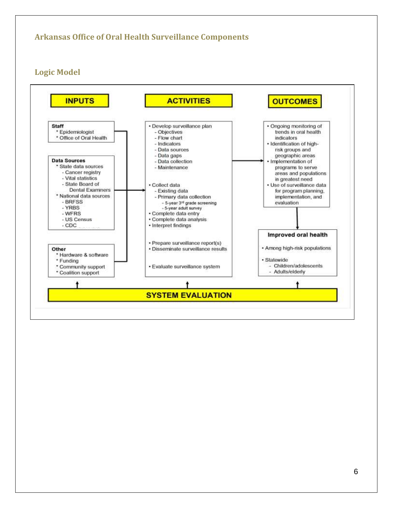# <span id="page-6-0"></span>**Arkansas Office of Oral Health Surveillance Components**

<span id="page-6-1"></span>**Logic Model**

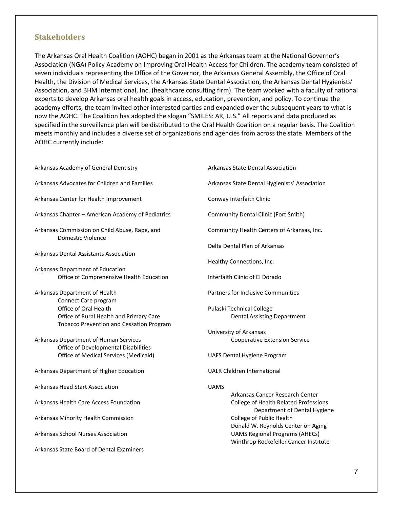#### <span id="page-7-0"></span>**Stakeholders**

The Arkansas Oral Health Coalition (AOHC) began in 2001 as the Arkansas team at the National Governor's Association (NGA) Policy Academy on Improving Oral Health Access for Children. The academy team consisted of seven individuals representing the Office of the Governor, the Arkansas General Assembly, the Office of Oral Health, the Division of Medical Services, the Arkansas State Dental Association, the Arkansas Dental Hygienists' Association, and BHM International, Inc. (healthcare consulting firm). The team worked with a faculty of national experts to develop Arkansas oral health goals in access, education, prevention, and policy. To continue the academy efforts, the team invited other interested parties and expanded over the subsequent years to what is now the AOHC. The Coalition has adopted the slogan "SMILES: AR, U.S." All reports and data produced as specified in the surveillance plan will be distributed to the Oral Health Coalition on a regular basis. The Coalition meets monthly and includes a diverse set of organizations and agencies from across the state. Members of the AOHC currently include:

Arkansas Academy of General Dentistry

- Arkansas Advocates for Children and Families
- Arkansas Center for Health Improvement
- Arkansas Chapter American Academy of Pediatrics
- Arkansas Commission on Child Abuse, Rape, and Domestic Violence
- Arkansas Dental Assistants Association
- Arkansas Department of Education Office of Comprehensive Health Education
- Arkansas Department of Health Connect Care program Office of Oral Health Office of Rural Health and Primary Care Tobacco Prevention and Cessation Program
- Arkansas Department of Human Services Office of Developmental Disabilities Office of Medical Services (Medicaid)
- Arkansas Department of Higher Education
- Arkansas Head Start Association
- Arkansas Health Care Access Foundation
- Arkansas Minority Health Commission
- Arkansas School Nurses Association
- Arkansas State Board of Dental Examiners

Arkansas State Dental Association

Arkansas State Dental Hygienists' Association

Conway Interfaith Clinic

Community Dental Clinic (Fort Smith)

Community Health Centers of Arkansas, Inc.

Delta Dental Plan of Arkansas

- Healthy Connections, Inc.
- Interfaith Clinic of El Dorado

Partners for Inclusive Communities

- Pulaski Technical College Dental Assisting Department
- University of Arkansas Cooperative Extension Service
- UAFS Dental Hygiene Program

UALR Children International

#### UAMS

Arkansas Cancer Research Center College of Health Related Professions Department of Dental Hygiene College of Public Health Donald W. Reynolds Center on Aging UAMS Regional Programs (AHECs) Winthrop Rockefeller Cancer Institute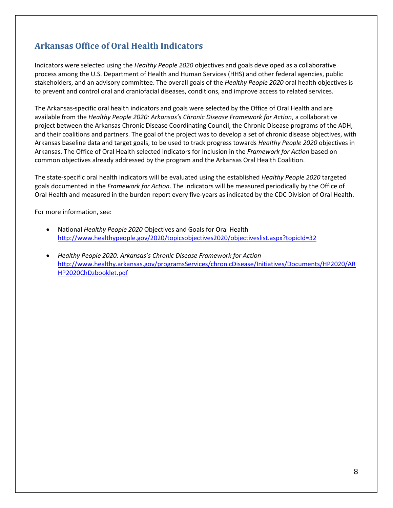# <span id="page-8-0"></span>**Arkansas Office of Oral Health Indicators**

Indicators were selected using the *Healthy People 2020* objectives and goals developed as a collaborative process among the U.S. Department of Health and Human Services (HHS) and other federal agencies, public stakeholders, and an advisory committee. The overall goals of the *Healthy People 2020* oral health objectives is to prevent and control oral and craniofacial diseases, conditions, and improve access to related services.

The Arkansas-specific oral health indicators and goals were selected by the Office of Oral Health and are available from the *Healthy People 2020: Arkansas's Chronic Disease Framework for Action*, a collaborative project between the Arkansas Chronic Disease Coordinating Council, the Chronic Disease programs of the ADH, and their coalitions and partners. The goal of the project was to develop a set of chronic disease objectives, with Arkansas baseline data and target goals, to be used to track progress towards *Healthy People 2020* objectives in Arkansas. The Office of Oral Health selected indicators for inclusion in the *Framework for Action* based on common objectives already addressed by the program and the Arkansas Oral Health Coalition.

The state-specific oral health indicators will be evaluated using the established *Healthy People 2020* targeted goals documented in the *Framework for Action*. The indicators will be measured periodically by the Office of Oral Health and measured in the burden report every five-years as indicated by the CDC Division of Oral Health.

For more information, see:

- National *Healthy People 2020* Objectives and Goals for Oral Health <http://www.healthypeople.gov/2020/topicsobjectives2020/objectiveslist.aspx?topicId=32>
- *Healthy People 2020: Arkansas's Chronic Disease Framework for Action* [http://www.healthy.arkansas.gov/programsServices/chronicDisease/Initiatives/Documents/HP2020/AR](http://www.healthy.arkansas.gov/programsServices/chronicDisease/Initiatives/Documents/HP2020/ARHP2020ChDzbooklet.pdf) [HP2020ChDzbooklet.pdf](http://www.healthy.arkansas.gov/programsServices/chronicDisease/Initiatives/Documents/HP2020/ARHP2020ChDzbooklet.pdf)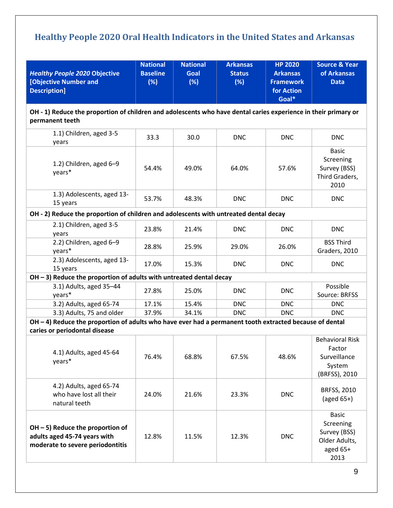# <span id="page-9-0"></span>**Healthy People 2020 Oral Health Indicators in the United States and Arkansas**

| <b>Healthy People 2020 Objective</b><br>[Objective Number and<br><b>Description]</b>                                                     | <b>National</b><br><b>Baseline</b><br>(%) | <b>National</b><br><b>Goal</b><br>(%) | <b>Arkansas</b><br><b>Status</b><br>(%) | <b>HP 2020</b><br><b>Arkansas</b><br><b>Framework</b><br>for Action<br>Goal* | <b>Source &amp; Year</b><br>of Arkansas<br><b>Data</b>                         |
|------------------------------------------------------------------------------------------------------------------------------------------|-------------------------------------------|---------------------------------------|-----------------------------------------|------------------------------------------------------------------------------|--------------------------------------------------------------------------------|
| OH - 1) Reduce the proportion of children and adolescents who have dental caries experience in their primary or<br>permanent teeth       |                                           |                                       |                                         |                                                                              |                                                                                |
| 1.1) Children, aged 3-5<br>vears                                                                                                         | 33.3                                      | 30.0                                  | <b>DNC</b>                              | <b>DNC</b>                                                                   | <b>DNC</b>                                                                     |
| 1.2) Children, aged 6-9<br>years*                                                                                                        | 54.4%                                     | 49.0%                                 | 64.0%                                   | 57.6%                                                                        | <b>Basic</b><br>Screening<br>Survey (BSS)<br>Third Graders,<br>2010            |
| 1.3) Adolescents, aged 13-<br>15 years                                                                                                   | 53.7%                                     | 48.3%                                 | <b>DNC</b>                              | <b>DNC</b>                                                                   | <b>DNC</b>                                                                     |
| OH - 2) Reduce the proportion of children and adolescents with untreated dental decay                                                    |                                           |                                       |                                         |                                                                              |                                                                                |
| 2.1) Children, aged 3-5<br>years                                                                                                         | 23.8%                                     | 21.4%                                 | <b>DNC</b>                              | <b>DNC</b>                                                                   | <b>DNC</b>                                                                     |
| 2.2) Children, aged 6-9<br>years*                                                                                                        | 28.8%                                     | 25.9%                                 | 29.0%                                   | 26.0%                                                                        | <b>BSS Third</b><br>Graders, 2010                                              |
| 2.3) Adolescents, aged 13-<br>15 years                                                                                                   | 17.0%                                     | 15.3%                                 | <b>DNC</b>                              | <b>DNC</b>                                                                   | <b>DNC</b>                                                                     |
| $OH - 3$ ) Reduce the proportion of adults with untreated dental decay                                                                   |                                           |                                       |                                         |                                                                              |                                                                                |
| 3.1) Adults, aged 35-44<br>years*                                                                                                        | 27.8%                                     | 25.0%                                 | <b>DNC</b>                              | <b>DNC</b>                                                                   | Possible<br>Source: BRFSS                                                      |
| 3.2) Adults, aged 65-74                                                                                                                  | 17.1%                                     | 15.4%                                 | <b>DNC</b>                              | <b>DNC</b>                                                                   | <b>DNC</b>                                                                     |
| 3.3) Adults, 75 and older                                                                                                                | 37.9%                                     | 34.1%                                 | <b>DNC</b>                              | <b>DNC</b>                                                                   | <b>DNC</b>                                                                     |
| OH - 4) Reduce the proportion of adults who have ever had a permanent tooth extracted because of dental<br>caries or periodontal disease |                                           |                                       |                                         |                                                                              |                                                                                |
| 4.1) Adults, aged 45-64<br>years*                                                                                                        | 76.4%                                     | 68.8%                                 | 67.5%                                   | 48.6%                                                                        | <b>Behavioral Risk</b><br>Factor<br>Surveillance<br>System<br>(BRFSS), 2010    |
| 4.2) Adults, aged 65-74<br>who have lost all their<br>natural teeth                                                                      | 24.0%                                     | 21.6%                                 | 23.3%                                   | <b>DNC</b>                                                                   | BRFSS, 2010<br>(aged $65+$ )                                                   |
| $OH - 5$ ) Reduce the proportion of<br>adults aged 45-74 years with<br>moderate to severe periodontitis                                  | 12.8%                                     | 11.5%                                 | 12.3%                                   | <b>DNC</b>                                                                   | <b>Basic</b><br>Screening<br>Survey (BSS)<br>Older Adults,<br>aged 65+<br>2013 |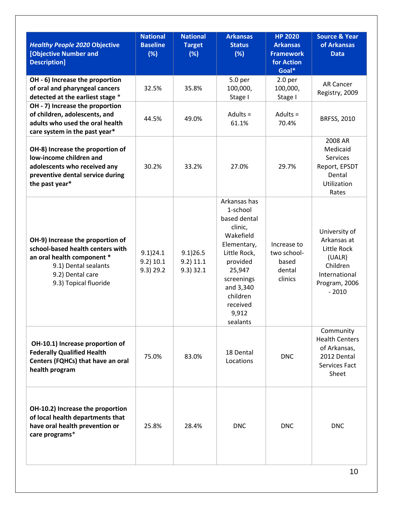| <b>Healthy People 2020 Objective</b><br>[Objective Number and<br><b>Description]</b>                                                                                    | <b>National</b><br><b>Baseline</b><br>(%) | <b>National</b><br><b>Target</b><br>(%) | <b>Arkansas</b><br><b>Status</b><br>(%)                                                                                                                                                       | <b>HP 2020</b><br><b>Arkansas</b><br><b>Framework</b><br>for Action<br>Goal* | <b>Source &amp; Year</b><br>of Arkansas<br><b>Data</b>                                                         |
|-------------------------------------------------------------------------------------------------------------------------------------------------------------------------|-------------------------------------------|-----------------------------------------|-----------------------------------------------------------------------------------------------------------------------------------------------------------------------------------------------|------------------------------------------------------------------------------|----------------------------------------------------------------------------------------------------------------|
| OH - 6) Increase the proportion<br>of oral and pharyngeal cancers<br>detected at the earliest stage *                                                                   | 32.5%                                     | 35.8%                                   | 5.0 per<br>100,000,<br>Stage I                                                                                                                                                                | 2.0 <sub>per</sub><br>100,000,<br>Stage I                                    | <b>AR Cancer</b><br>Registry, 2009                                                                             |
| OH - 7) Increase the proportion<br>of children, adolescents, and<br>adults who used the oral health<br>care system in the past year*                                    | 44.5%                                     | 49.0%                                   | Adults $=$<br>61.1%                                                                                                                                                                           | Adults $=$<br>70.4%                                                          | <b>BRFSS, 2010</b>                                                                                             |
| OH-8) Increase the proportion of<br>low-income children and<br>adolescents who received any<br>preventive dental service during<br>the past year*                       | 30.2%                                     | 33.2%                                   | 27.0%                                                                                                                                                                                         | 29.7%                                                                        | 2008 AR<br>Medicaid<br>Services<br>Report, EPSDT<br>Dental<br><b>Utilization</b><br>Rates                      |
| OH-9) Increase the proportion of<br>school-based health centers with<br>an oral health component *<br>9.1) Dental sealants<br>9.2) Dental care<br>9.3) Topical fluoride | 9.1)24.1<br>9.2) 10.1<br>$9.3)$ 29.2      | 9.1)26.5<br>$9.2)$ 11.1<br>$9.3)$ 32.1  | Arkansas has<br>1-school<br>based dental<br>clinic,<br>Wakefield<br>Elementary,<br>Little Rock,<br>provided<br>25,947<br>screenings<br>and 3,340<br>children<br>received<br>9,912<br>sealants | Increase to<br>two school-<br>based<br>dental<br>clinics                     | University of<br>Arkansas at<br>Little Rock<br>(UALR)<br>Children<br>International<br>Program, 2006<br>$-2010$ |
| OH-10.1) Increase proportion of<br><b>Federally Qualified Health</b><br>Centers (FQHCs) that have an oral<br>health program                                             | 75.0%                                     | 83.0%                                   | 18 Dental<br>Locations                                                                                                                                                                        | <b>DNC</b>                                                                   | Community<br><b>Health Centers</b><br>of Arkansas,<br>2012 Dental<br>Services Fact<br>Sheet                    |
| OH-10.2) Increase the proportion<br>of local health departments that<br>have oral health prevention or<br>care programs*                                                | 25.8%                                     | 28.4%                                   | <b>DNC</b>                                                                                                                                                                                    | <b>DNC</b>                                                                   | <b>DNC</b>                                                                                                     |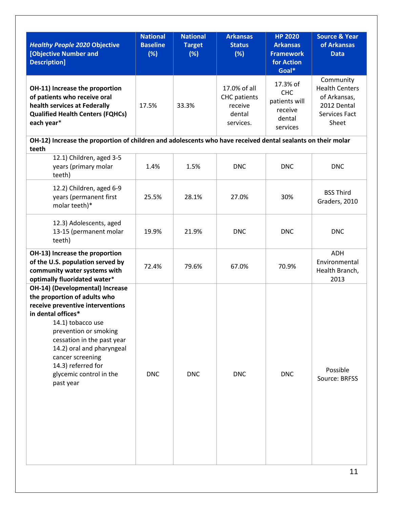| <b>Healthy People 2020 Objective</b><br>[Objective Number and<br><b>Description]</b>                                                                                                                                                                                                                                 | <b>National</b><br><b>Baseline</b><br>(%) | <b>National</b><br><b>Target</b><br>(%) | <b>Arkansas</b><br><b>Status</b><br>(%)                               | <b>HP 2020</b><br><b>Arkansas</b><br><b>Framework</b><br>for Action      | Source & Year<br>of Arkansas<br><b>Data</b>                                                 |
|----------------------------------------------------------------------------------------------------------------------------------------------------------------------------------------------------------------------------------------------------------------------------------------------------------------------|-------------------------------------------|-----------------------------------------|-----------------------------------------------------------------------|--------------------------------------------------------------------------|---------------------------------------------------------------------------------------------|
|                                                                                                                                                                                                                                                                                                                      |                                           |                                         |                                                                       | Goal*                                                                    |                                                                                             |
| OH-11) Increase the proportion<br>of patients who receive oral<br>health services at Federally<br><b>Qualified Health Centers (FQHCs)</b><br>each year*                                                                                                                                                              | 17.5%                                     | 33.3%                                   | 17.0% of all<br><b>CHC</b> patients<br>receive<br>dental<br>services. | 17.3% of<br><b>CHC</b><br>patients will<br>receive<br>dental<br>services | Community<br><b>Health Centers</b><br>of Arkansas,<br>2012 Dental<br>Services Fact<br>Sheet |
| OH-12) Increase the proportion of children and adolescents who have received dental sealants on their molar                                                                                                                                                                                                          |                                           |                                         |                                                                       |                                                                          |                                                                                             |
| teeth<br>12.1) Children, aged 3-5<br>years (primary molar<br>teeth)                                                                                                                                                                                                                                                  | 1.4%                                      | 1.5%                                    | <b>DNC</b>                                                            | <b>DNC</b>                                                               | <b>DNC</b>                                                                                  |
| 12.2) Children, aged 6-9<br>years (permanent first<br>molar teeth)*                                                                                                                                                                                                                                                  | 25.5%                                     | 28.1%                                   | 27.0%                                                                 | 30%                                                                      | <b>BSS Third</b><br>Graders, 2010                                                           |
| 12.3) Adolescents, aged<br>13-15 (permanent molar<br>teeth)                                                                                                                                                                                                                                                          | 19.9%                                     | 21.9%                                   | <b>DNC</b>                                                            | <b>DNC</b>                                                               | <b>DNC</b>                                                                                  |
| OH-13) Increase the proportion<br>of the U.S. population served by<br>community water systems with<br>optimally fluoridated water*                                                                                                                                                                                   | 72.4%                                     | 79.6%                                   | 67.0%                                                                 | 70.9%                                                                    | <b>ADH</b><br>Environmental<br>Health Branch,<br>2013                                       |
| OH-14) (Developmental) Increase<br>the proportion of adults who<br>receive preventive interventions<br>in dental offices*<br>14.1) tobacco use<br>prevention or smoking<br>cessation in the past year<br>14.2) oral and pharyngeal<br>cancer screening<br>14.3) referred for<br>glycemic control in the<br>past year | <b>DNC</b>                                | <b>DNC</b>                              | <b>DNC</b>                                                            | <b>DNC</b>                                                               | Possible<br>Source: BRFSS                                                                   |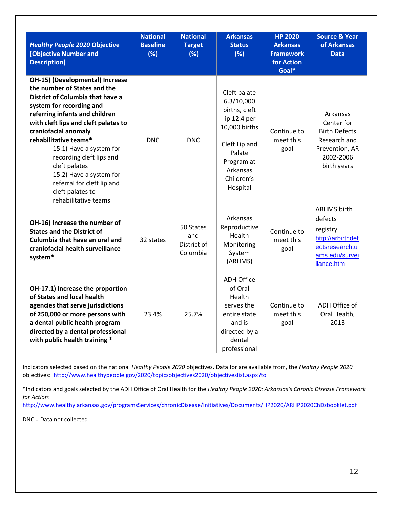| <b>Healthy People 2020 Objective</b><br><b>[Objective Number and</b><br><b>Description]</b>                                                                                                                                                                                                                                                                                                                                             | <b>National</b><br><b>Baseline</b><br>(%) | <b>National</b><br><b>Target</b><br>(%)     | <b>Arkansas</b><br><b>Status</b><br>(%)                                                                                                                     | <b>HP 2020</b><br><b>Arkansas</b><br><b>Framework</b><br>for Action<br>Goal* | <b>Source &amp; Year</b><br>of Arkansas<br><b>Data</b>                                                           |
|-----------------------------------------------------------------------------------------------------------------------------------------------------------------------------------------------------------------------------------------------------------------------------------------------------------------------------------------------------------------------------------------------------------------------------------------|-------------------------------------------|---------------------------------------------|-------------------------------------------------------------------------------------------------------------------------------------------------------------|------------------------------------------------------------------------------|------------------------------------------------------------------------------------------------------------------|
| OH-15) (Developmental) Increase<br>the number of States and the<br>District of Columbia that have a<br>system for recording and<br>referring infants and children<br>with cleft lips and cleft palates to<br>craniofacial anomaly<br>rehabilitative teams*<br>15.1) Have a system for<br>recording cleft lips and<br>cleft palates<br>15.2) Have a system for<br>referral for cleft lip and<br>cleft palates to<br>rehabilitative teams | <b>DNC</b>                                | DNC.                                        | Cleft palate<br>6.3/10,000<br>births, cleft<br>lip 12.4 per<br>10,000 births<br>Cleft Lip and<br>Palate<br>Program at<br>Arkansas<br>Children's<br>Hospital | Continue to<br>meet this<br>goal                                             | Arkansas<br>Center for<br><b>Birth Defects</b><br>Research and<br>Prevention, AR<br>2002-2006<br>birth years     |
| OH-16) Increase the number of<br><b>States and the District of</b><br>Columbia that have an oral and<br>craniofacial health surveillance<br>system*                                                                                                                                                                                                                                                                                     | 32 states                                 | 50 States<br>and<br>District of<br>Columbia | Arkansas<br>Reproductive<br>Health<br>Monitoring<br>System<br>(ARHMS)                                                                                       | Continue to<br>meet this<br>goal                                             | <b>ARHMS</b> birth<br>defects<br>registry<br>http://arbirthdef<br>ectsresearch.u<br>ams.edu/survei<br>llance.htm |
| OH-17.1) Increase the proportion<br>of States and local health<br>agencies that serve jurisdictions<br>of 250,000 or more persons with<br>a dental public health program<br>directed by a dental professional<br>with public health training *                                                                                                                                                                                          | 23.4%                                     | 25.7%                                       | <b>ADH Office</b><br>of Oral<br>Health<br>serves the<br>entire state<br>and is<br>directed by a<br>dental<br>professional                                   | Continue to<br>meet this<br>goal                                             | ADH Office of<br>Oral Health,<br>2013                                                                            |

Indicators selected based on the national *Healthy People 2020* objectives. Data for are available from, the *Healthy People 2020* objectives:<http://www.healthypeople.gov/2020/topicsobjectives2020/objectiveslist.aspx?to>

\*Indicators and goals selected by the ADH Office of Oral Health for the *Healthy People 2020: Arkansas's Chronic Disease Framework for Action*:

<http://www.healthy.arkansas.gov/programsServices/chronicDisease/Initiatives/Documents/HP2020/ARHP2020ChDzbooklet.pdf>

DNC = Data not collected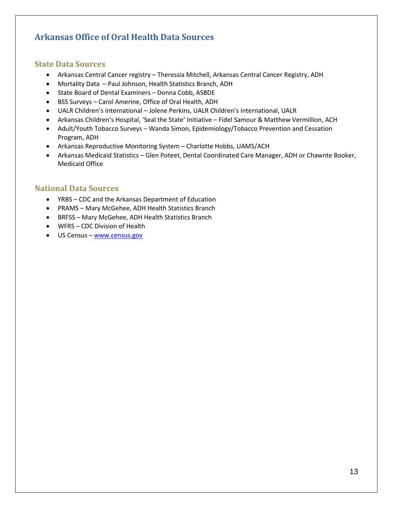# <span id="page-13-0"></span>**Arkansas Office of Oral Health Data Sources**

#### <span id="page-13-1"></span>**State Data Sources**

- Arkansas Central Cancer registry Theressia Mitchell, Arkansas Central Cancer Registry, ADH
- Mortality Data Paul Johnson, Health Statistics Branch, ADH
- State Board of Dental Examiners Donna Cobb, ASBDE
- BSS Surveys Carol Amerine, Office of Oral Health, ADH
- UALR Children's International Jolene Perkins, UALR Children's International, UALR
- Arkansas Children's Hospital, 'Seal the State' Initiative Fidel Samour & Matthew Vermillion, ACH
- Adult/Youth Tobacco Surveys Wanda Simon, Epidemiology/Tobacco Prevention and Cessation Program, ADH
- Arkansas Reproductive Monitoring System Charlotte Hobbs, UAMS/ACH
- Arkansas Medicaid Statistics Glen Poteet, Dental Coordinated Care Manager, ADH or Chawnte Booker, Medicaid Office

#### <span id="page-13-2"></span>**National Data Sources**

- YRBS CDC and the Arkansas Department of Education
- PRAMS Mary McGehee, ADH Health Statistics Branch
- BRFSS Mary McGehee, ADH Health Statistics Branch
- WFRS CDC Division of Health
- US Census [www.census.gov](http://www.census.gov/)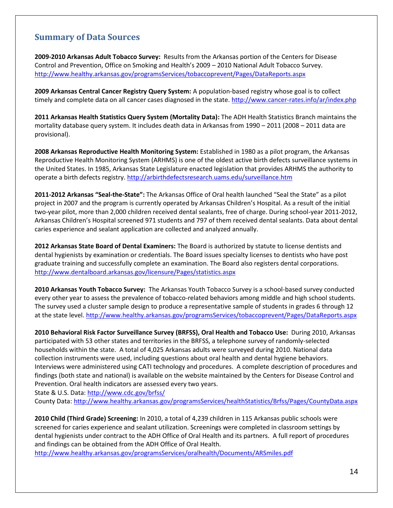## <span id="page-14-0"></span>**Summary of Data Sources**

**2009-2010 Arkansas Adult Tobacco Survey:** Results from the Arkansas portion of the Centers for Disease Control and Prevention, Office on Smoking and Health's 2009 – 2010 National Adult Tobacco Survey. <http://www.healthy.arkansas.gov/programsServices/tobaccoprevent/Pages/DataReports.aspx>

**2009 Arkansas Central Cancer Registry Query System:** A population-based registry whose goal is to collect timely and complete data on all cancer cases diagnosed in the state[. http://www.cancer-rates.info/ar/index.php](http://www.cancer-rates.info/ar/index.php)

**2011 Arkansas Health Statistics Query System (Mortality Data):** The ADH Health Statistics Branch maintains the mortality database query system. It includes death data in Arkansas from 1990 – 2011 (2008 – 2011 data are provisional).

**2008 Arkansas Reproductive Health Monitoring System:** Established in 1980 as a pilot program, the Arkansas Reproductive Health Monitoring System (ARHMS) is one of the oldest active birth defects surveillance systems in the United States. In 1985, Arkansas State Legislature enacted legislation that provides ARHMS the authority to operate a birth defects registry.<http://arbirthdefectsresearch.uams.edu/surveillance.htm>

**2011-2012 Arkansas "Seal-the-State":** The Arkansas Office of Oral health launched "Seal the State" as a pilot project in 2007 and the program is currently operated by Arkansas Children's Hospital. As a result of the initial two-year pilot, more than 2,000 children received dental sealants, free of charge. During school-year 2011-2012, Arkansas Children's Hospital screened 971 students and 797 of them received dental sealants. Data about dental caries experience and sealant application are collected and analyzed annually.

**2012 Arkansas State Board of Dental Examiners:** The Board is authorized by statute to license dentists and dental hygienists by examination or credentials. The Board issues specialty licenses to dentists who have post graduate training and successfully complete an examination. The Board also registers dental corporations. <http://www.dentalboard.arkansas.gov/licensure/Pages/statistics.aspx>

**2010 Arkansas Youth Tobacco Survey:** The Arkansas Youth Tobacco Survey is a school-based survey conducted every other year to assess the prevalence of tobacco-related behaviors among middle and high school students. The survey used a cluster sample design to produce a representative sample of students in grades 6 through 12 at the state level.<http://www.healthy.arkansas.gov/programsServices/tobaccoprevent/Pages/DataReports.aspx>

**2010 Behavioral Risk Factor Surveillance Survey (BRFSS), Oral Health and Tobacco Use:** During 2010, Arkansas participated with 53 other states and territories in the BRFSS, a telephone survey of randomly-selected households within the state. A total of 4,025 Arkansas adults were surveyed during 2010. National data collection instruments were used, including questions about oral health and dental hygiene behaviors. Interviews were administered using CATI technology and procedures. A complete description of procedures and findings (both state and national) is available on the website maintained by the Centers for Disease Control and Prevention. Oral health indicators are assessed every two years.

State & U.S. Data:<http://www.cdc.gov/brfss/>

County Data:<http://www.healthy.arkansas.gov/programsServices/healthStatistics/Brfss/Pages/CountyData.aspx>

**2010 Child (Third Grade) Screening:** In 2010, a total of 4,239 children in 115 Arkansas public schools were screened for caries experience and sealant utilization. Screenings were completed in classroom settings by dental hygienists under contract to the ADH Office of Oral Health and its partners. A full report of procedures and findings can be obtained from the ADH Office of Oral Health.

<http://www.healthy.arkansas.gov/programsServices/oralhealth/Documents/ARSmiles.pdf>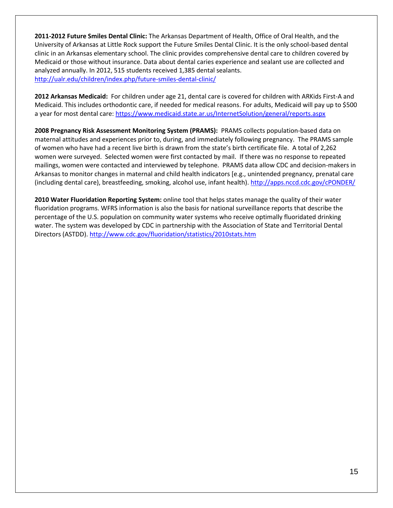**2011-2012 Future Smiles Dental Clinic:** The Arkansas Department of Health, Office of Oral Health, and the University of Arkansas at Little Rock support the Future Smiles Dental Clinic. It is the only school-based dental clinic in an Arkansas elementary school. The clinic provides comprehensive dental care to children covered by Medicaid or those without insurance. Data about dental caries experience and sealant use are collected and analyzed annually. In 2012, 515 students received 1,385 dental sealants. <http://ualr.edu/children/index.php/future-smiles-dental-clinic/>

**2012 Arkansas Medicaid:** For children under age 21, dental care is covered for children with ARKids First-A and Medicaid. This includes orthodontic care, if needed for medical reasons. For adults, Medicaid will pay up to \$500 a year for most dental care:<https://www.medicaid.state.ar.us/InternetSolution/general/reports.aspx>

**2008 Pregnancy Risk Assessment Monitoring System (PRAMS):** PRAMS collects population-based data on maternal attitudes and experiences prior to, during, and immediately following pregnancy. The PRAMS sample of women who have had a recent live birth is drawn from the state's birth certificate file. A total of 2,262 women were surveyed. Selected women were first contacted by mail. If there was no response to repeated mailings, women were contacted and interviewed by telephone. PRAMS data allow CDC and decision-makers in Arkansas to monitor changes in maternal and child health indicators [e.g., unintended pregnancy, prenatal care (including dental care), breastfeeding, smoking, alcohol use, infant health)[. http://apps.nccd.cdc.gov/cPONDER/](http://apps.nccd.cdc.gov/cPONDER/)

**2010 Water Fluoridation Reporting System:** online tool that helps states manage the quality of their water fluoridation programs. WFRS information is also the basis for national surveillance reports that describe the percentage of the U.S. population on community water systems who receive optimally fluoridated drinking water. The system was developed by CDC in partnership with the Association of State and Territorial Dental Directors (ASTDD)[. http://www.cdc.gov/fluoridation/statistics/2010stats.htm](http://www.cdc.gov/fluoridation/statistics/2010stats.htm)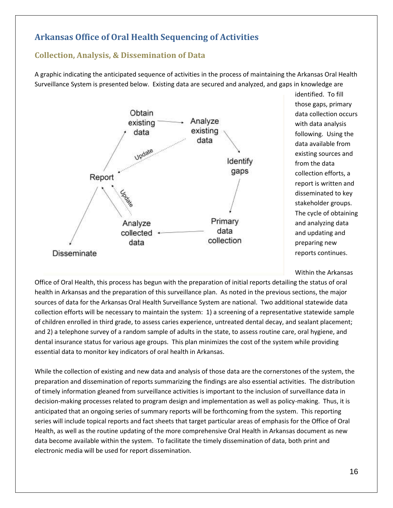# <span id="page-16-0"></span>**Arkansas Office of Oral Health Sequencing of Activities**

## <span id="page-16-1"></span>**Collection, Analysis, & Dissemination of Data**

A graphic indicating the anticipated sequence of activities in the process of maintaining the Arkansas Oral Health Surveillance System is presented below. Existing data are secured and analyzed, and gaps in knowledge are



identified. To fill those gaps, primary data collection occurs with data analysis following. Using the data available from existing sources and from the data collection efforts, a report is written and disseminated to key stakeholder groups. The cycle of obtaining and analyzing data and updating and preparing new reports continues.

Within the Arkansas

Office of Oral Health, this process has begun with the preparation of initial reports detailing the status of oral health in Arkansas and the preparation of this surveillance plan. As noted in the previous sections, the major sources of data for the Arkansas Oral Health Surveillance System are national. Two additional statewide data collection efforts will be necessary to maintain the system: 1) a screening of a representative statewide sample of children enrolled in third grade, to assess caries experience, untreated dental decay, and sealant placement; and 2) a telephone survey of a random sample of adults in the state, to assess routine care, oral hygiene, and dental insurance status for various age groups. This plan minimizes the cost of the system while providing essential data to monitor key indicators of oral health in Arkansas.

While the collection of existing and new data and analysis of those data are the cornerstones of the system, the preparation and dissemination of reports summarizing the findings are also essential activities. The distribution of timely information gleaned from surveillance activities is important to the inclusion of surveillance data in decision-making processes related to program design and implementation as well as policy-making. Thus, it is anticipated that an ongoing series of summary reports will be forthcoming from the system. This reporting series will include topical reports and fact sheets that target particular areas of emphasis for the Office of Oral Health, as well as the routine updating of the more comprehensive Oral Health in Arkansas document as new data become available within the system. To facilitate the timely dissemination of data, both print and electronic media will be used for report dissemination.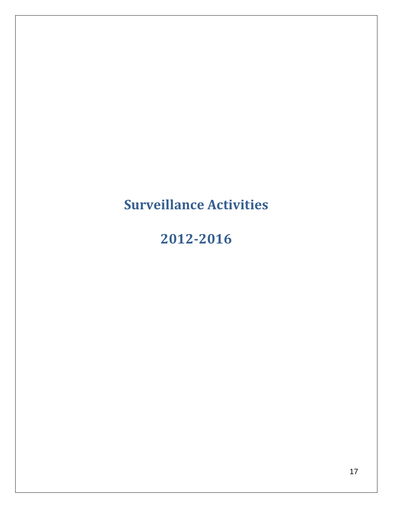# <span id="page-17-0"></span>**Surveillance Activities**

# **2012-2016**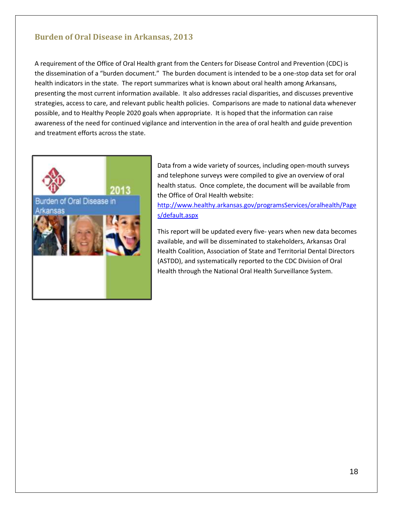#### <span id="page-18-0"></span>**Burden of Oral Disease in Arkansas, 2013**

A requirement of the Office of Oral Health grant from the Centers for Disease Control and Prevention (CDC) is the dissemination of a "burden document." The burden document is intended to be a one-stop data set for oral health indicators in the state. The report summarizes what is known about oral health among Arkansans, presenting the most current information available. It also addresses racial disparities, and discusses preventive strategies, access to care, and relevant public health policies. Comparisons are made to national data whenever possible, and to Healthy People 2020 goals when appropriate. It is hoped that the information can raise awareness of the need for continued vigilance and intervention in the area of oral health and guide prevention and treatment efforts across the state.



Data from a wide variety of sources, including open-mouth surveys and telephone surveys were compiled to give an overview of oral health status. Once complete, the document will be available from the Office of Oral Health website:

[http://www.healthy.arkansas.gov/programsServices/oralhealth/Page](http://www.healthy.arkansas.gov/programsServices/oralhealth/Pages/default.aspx) [s/default.aspx](http://www.healthy.arkansas.gov/programsServices/oralhealth/Pages/default.aspx)

This report will be updated every five- years when new data becomes available, and will be disseminated to stakeholders, Arkansas Oral Health Coalition, Association of State and Territorial Dental Directors (ASTDD), and systematically reported to the CDC Division of Oral Health through the National Oral Health Surveillance System.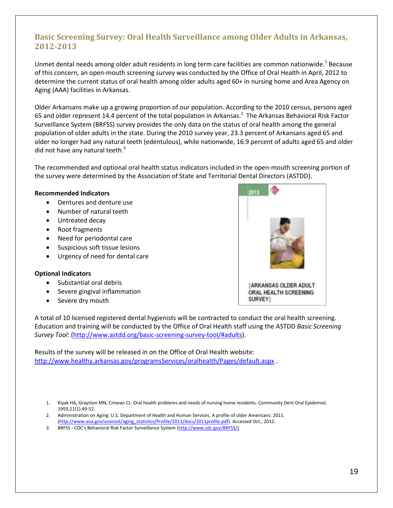# <span id="page-19-0"></span>**Basic Screening Survey: Oral Health Surveillance among Older Adults in Arkansas, 2012-2013**

Unmet dental needs among older adult residents in long term care facilities are common nationwide.<sup>1</sup> Because of this concern, an open-mouth screening survey was conducted by the Office of Oral Health in April, 2012 to determine the current status of oral health among older adults aged 60+ in nursing home and Area Agency on Aging (AAA) facilities in Arkansas.

Older Arkansans make up a growing proportion of our population. According to the 2010 census, persons aged 65 and older represent 14.4 percent of the total population in Arkansas.<sup>2</sup> The Arkansas Behavioral Risk Factor Surveillance System (BRFSS) survey provides the only data on the status of oral health among the general population of older adults in the state. During the 2010 survey year, 23.3 percent of Arkansans aged 65 and older no longer had any natural teeth (edentulous), while nationwide, 16.9 percent of adults aged 65 and older did not have any natural teeth. $3$ 

The recommended and optional oral health status indicators included in the open-mouth screening portion of the survey were determined by the Association of State and Territorial Dental Directors (ASTDD).

#### **Recommended Indicators**

- Dentures and denture use
- Number of natural teeth
- Untreated decay
- Root fragments
- Need for periodontal care
- Suspicious soft tissue lesions
- Urgency of need for dental care

#### **Optional Indicators**

- Substantial oral debris
- Severe gingival inflammation
- Severe dry mouth



A total of 10 licensed registered dental hygienists will be contracted to conduct the oral health screening. Education and training will be conducted by the Office of Oral Health staff using the ASTDD *Basic Screening Survey Tool*: [\(http://www.astdd.org/basic-screening-survey-tool/#adults\)](http://www.astdd.org/basic-screening-survey-tool/#adults).

Results of the survey will be released in on the Office of Oral Health website: <http://www.healthy.arkansas.gov/programsServices/oralhealth/Pages/default.aspx> .

- 2. Administration on Aging: U.S. Department of Health and Human Services. A profile of older Americans: 2011. [\(http://www.aoa.gov/aoaroot/aging\\_statistics/Profile/2011/docs/2011profile.pdf\)](http://www.aoa.gov/aoaroot/aging_statistics/Profile/2011/docs/2011profile.pdf). Accessed Oct., 2012.
- 3. BRFSS CDC's Behavioral Risk Factor Surveillance System [\(http://www.cdc.gov/BRFSS/\)](http://www.cdc.gov/BRFSS/).

<sup>1.</sup> Kiyak HA, Grayston MN, Crinean CL. Oral health problems and needs of nursing home residents. Community Dent Oral Epidemiol. 1993;21(1):49-52.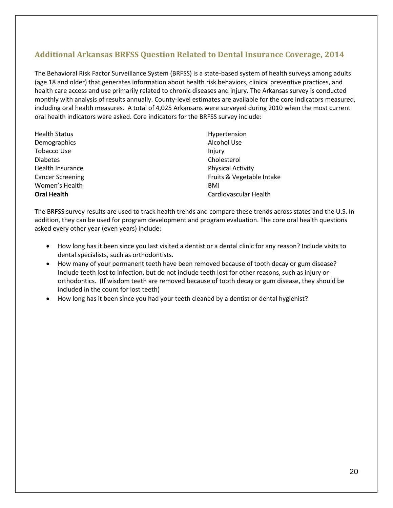# <span id="page-20-0"></span>**Additional Arkansas BRFSS Question Related to Dental Insurance Coverage, 2014**

The Behavioral Risk Factor Surveillance System (BRFSS) is a state-based system of health surveys among adults (age 18 and older) that generates information about health risk behaviors, clinical preventive practices, and health care access and use primarily related to chronic diseases and injury. The Arkansas survey is conducted monthly with analysis of results annually. County-level estimates are available for the core indicators measured, including oral health measures. A total of 4,025 Arkansans were surveyed during 2010 when the most current oral health indicators were asked. Core indicators for the BRFSS survey include:

| <b>Health Status</b>    | Hypertension              |
|-------------------------|---------------------------|
| Demographics            | Alcohol Use               |
| Tobacco Use             | Injury                    |
| <b>Diabetes</b>         | Cholesterol               |
| Health Insurance        | <b>Physical Activity</b>  |
| <b>Cancer Screening</b> | Fruits & Vegetable Intake |
| Women's Health          | BMI                       |
| <b>Oral Health</b>      | Cardiovascular Health     |

The BRFSS survey results are used to track health trends and compare these trends across states and the U.S. In addition, they can be used for program development and program evaluation. The core oral health questions asked every other year (even years) include:

- How long has it been since you last visited a dentist or a dental clinic for any reason? Include visits to dental specialists, such as orthodontists.
- How many of your permanent teeth have been removed because of tooth decay or gum disease? Include teeth lost to infection, but do not include teeth lost for other reasons, such as injury or orthodontics. (If wisdom teeth are removed because of tooth decay or gum disease, they should be included in the count for lost teeth)
- How long has it been since you had your teeth cleaned by a dentist or dental hygienist?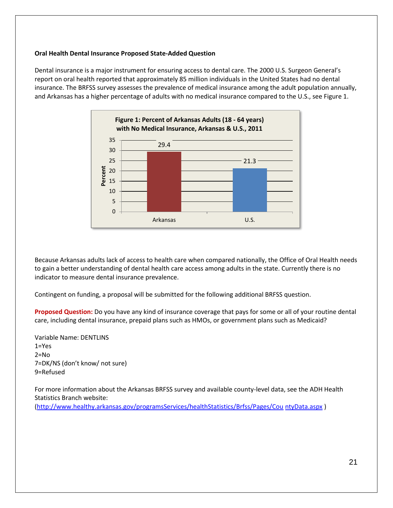#### **Oral Health Dental Insurance Proposed State-Added Question**

Dental insurance is a major instrument for ensuring access to dental care. The 2000 U.S. Surgeon General's report on oral health reported that approximately 85 million individuals in the United States had no dental insurance. The BRFSS survey assesses the prevalence of medical insurance among the adult population annually, and Arkansas has a higher percentage of adults with no medical insurance compared to the U.S., see Figure 1.



Because Arkansas adults lack of access to health care when compared nationally, the Office of Oral Health needs to gain a better understanding of dental health care access among adults in the state. Currently there is no indicator to measure dental insurance prevalence.

Contingent on funding, a proposal will be submitted for the following additional BRFSS question.

**Proposed Question:** Do you have any kind of insurance coverage that pays for some or all of your routine dental care, including dental insurance, prepaid plans such as HMOs, or government plans such as Medicaid?

Variable Name: DENTLINS 1=Yes 2=No 7=DK/NS (don't know/ not sure) 9=Refused

For more information about the Arkansas BRFSS survey and available county-level data, see the ADH Health Statistics Branch website:

[\(http://www.healthy.arkansas.gov/programsServices/healthStatistics/Brfss/Pages/Cou](http://www.healthy.arkansas.gov/programsServices/healthStatistics/Brfss/Pages/CountyData.aspx) ntyData.aspx )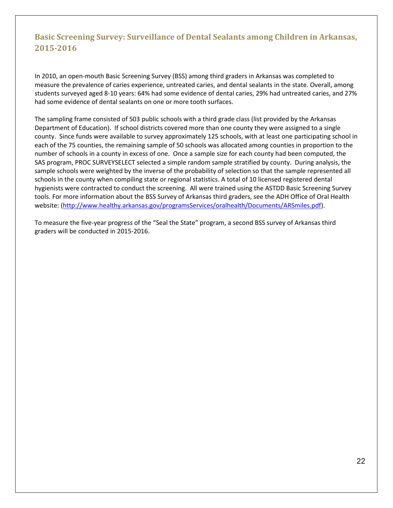# <span id="page-22-0"></span>**Basic Screening Survey: Surveillance of Dental Sealants among Children in Arkansas, 2015-2016**

In 2010, an open-mouth Basic Screening Survey (BSS) among third graders in Arkansas was completed to measure the prevalence of caries experience, untreated caries, and dental sealants in the state. Overall, among students surveyed aged 8-10 years: 64% had some evidence of dental caries, 29% had untreated caries, and 27% had some evidence of dental sealants on one or more tooth surfaces.

The sampling frame consisted of 503 public schools with a third grade class (list provided by the Arkansas Department of Education). If school districts covered more than one county they were assigned to a single county. Since funds were available to survey approximately 125 schools, with at least one participating school in each of the 75 counties, the remaining sample of 50 schools was allocated among counties in proportion to the number of schools in a county in excess of one. Once a sample size for each county had been computed, the SAS program, PROC SURVEYSELECT selected a simple random sample stratified by county. During analysis, the sample schools were weighted by the inverse of the probability of selection so that the sample represented all schools in the county when compiling state or regional statistics. A total of 10 licensed registered dental hygienists were contracted to conduct the screening. All were trained using the ASTDD Basic Screening Survey tools. For more information about the BSS Survey of Arkansas third graders, see the ADH Office of Oral Health website: [\(http://www.healthy.arkansas.gov/programsServices/oralhealth/Documents/ARSmiles.pdf\)](http://www.healthy.arkansas.gov/programsServices/oralhealth/Documents/ARSmiles.pdf).

To measure the five-year progress of the "Seal the State" program, a second BSS survey of Arkansas third graders will be conducted in 2015-2016.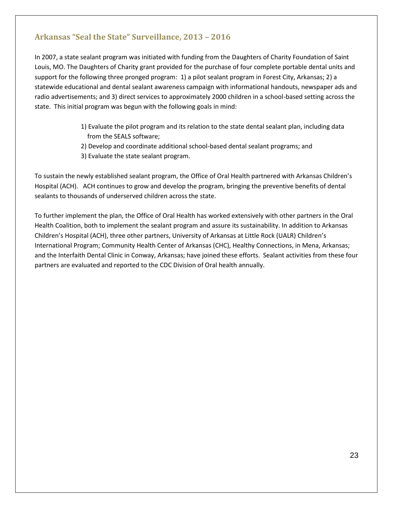## <span id="page-23-0"></span>**Arkansas "Seal the State" Surveillance, 2013 – 2016**

In 2007, a state sealant program was initiated with funding from the Daughters of Charity Foundation of Saint Louis, MO. The Daughters of Charity grant provided for the purchase of four complete portable dental units and support for the following three pronged program: 1) a pilot sealant program in Forest City, Arkansas; 2) a statewide educational and dental sealant awareness campaign with informational handouts, newspaper ads and radio advertisements; and 3) direct services to approximately 2000 children in a school-based setting across the state. This initial program was begun with the following goals in mind:

- 1) Evaluate the pilot program and its relation to the state dental sealant plan, including data from the SEALS software;
- 2) Develop and coordinate additional school-based dental sealant programs; and
- 3) Evaluate the state sealant program.

To sustain the newly established sealant program, the Office of Oral Health partnered with Arkansas Children's Hospital (ACH). ACH continues to grow and develop the program, bringing the preventive benefits of dental sealants to thousands of underserved children across the state.

To further implement the plan, the Office of Oral Health has worked extensively with other partners in the Oral Health Coalition, both to implement the sealant program and assure its sustainability. In addition to Arkansas Children's Hospital (ACH), three other partners, University of Arkansas at Little Rock (UALR) Children's International Program; Community Health Center of Arkansas (CHC), Healthy Connections, in Mena, Arkansas; and the Interfaith Dental Clinic in Conway, Arkansas; have joined these efforts. Sealant activities from these four partners are evaluated and reported to the CDC Division of Oral health annually.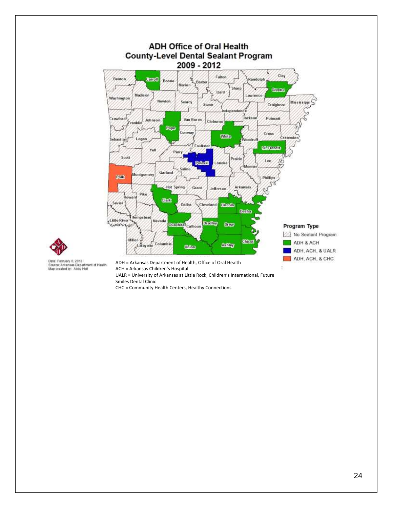



Date: February 6, 2013<br>Source: Arkansas Department of Health<br>Map created by: Abby Holt

ACH = Arkansas Children's Hospital UALR = University of Arkansas at Little Rock, Children's International, Future

Smiles Dental Clinic CHC = Community Health Centers, Healthy Connections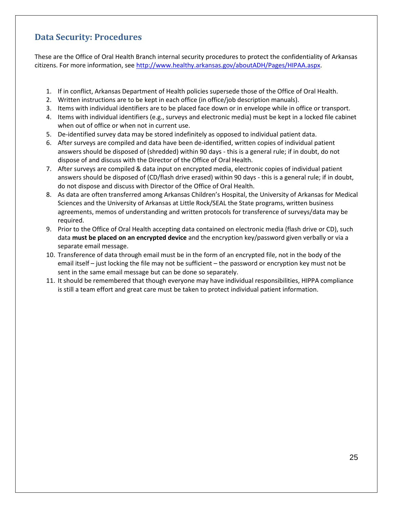# <span id="page-25-0"></span>**Data Security: Procedures**

These are the Office of Oral Health Branch internal security procedures to protect the confidentiality of Arkansas citizens. For more information, see [http://www.healthy.arkansas.gov/aboutADH/Pages/HIPAA.aspx.](http://www.healthy.arkansas.gov/aboutADH/Pages/HIPAA.aspx)

- 1. If in conflict, Arkansas Department of Health policies supersede those of the Office of Oral Health.
- 2. Written instructions are to be kept in each office (in office/job description manuals).
- 3. Items with individual identifiers are to be placed face down or in envelope while in office or transport.
- 4. Items with individual identifiers (e.g., surveys and electronic media) must be kept in a locked file cabinet when out of office or when not in current use.
- 5. De-identified survey data may be stored indefinitely as opposed to individual patient data.
- 6. After surveys are compiled and data have been de-identified, written copies of individual patient answers should be disposed of (shredded) within 90 days - this is a general rule; if in doubt, do not dispose of and discuss with the Director of the Office of Oral Health.
- 7. After surveys are compiled & data input on encrypted media, electronic copies of individual patient answers should be disposed of (CD/flash drive erased) within 90 days - this is a general rule; if in doubt, do not dispose and discuss with Director of the Office of Oral Health.
- 8. As data are often transferred among Arkansas Children's Hospital, the University of Arkansas for Medical Sciences and the University of Arkansas at Little Rock/SEAL the State programs, written business agreements, memos of understanding and written protocols for transference of surveys/data may be required.
- 9. Prior to the Office of Oral Health accepting data contained on electronic media (flash drive or CD), such data **must be placed on an encrypted device** and the encryption key/password given verbally or via a separate email message.
- 10. Transference of data through email must be in the form of an encrypted file, not in the body of the email itself – just locking the file may not be sufficient – the password or encryption key must not be sent in the same email message but can be done so separately.
- 11. It should be remembered that though everyone may have individual responsibilities, HIPPA compliance is still a team effort and great care must be taken to protect individual patient information.